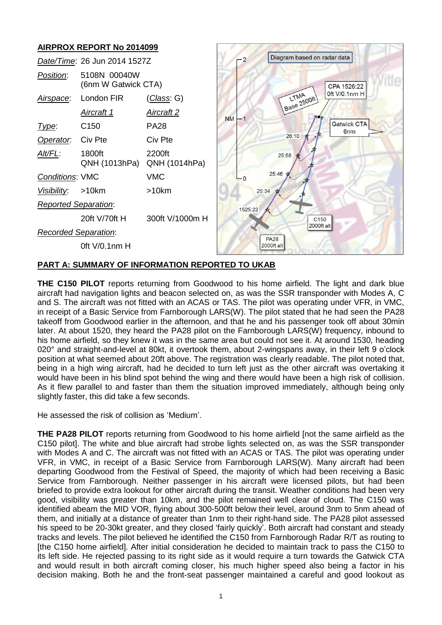

# **PART A: SUMMARY OF INFORMATION REPORTED TO UKAB**

**THE C150 PILOT** reports returning from Goodwood to his home airfield. The light and dark blue aircraft had navigation lights and beacon selected on, as was the SSR transponder with Modes A, C and S. The aircraft was not fitted with an ACAS or TAS. The pilot was operating under VFR, in VMC, in receipt of a Basic Service from Farnborough LARS(W). The pilot stated that he had seen the PA28 takeoff from Goodwood earlier in the afternoon, and that he and his passenger took off about 30min later. At about 1520, they heard the PA28 pilot on the Farnborough LARS(W) frequency, inbound to his home airfield, so they knew it was in the same area but could not see it. At around 1530, heading 020° and straight-and-level at 80kt, it overtook them, about 2-wingspans away, in their left 9 o'clock position at what seemed about 20ft above. The registration was clearly readable. The pilot noted that, being in a high wing aircraft, had he decided to turn left just as the other aircraft was overtaking it would have been in his blind spot behind the wing and there would have been a high risk of collision. As it flew parallel to and faster than them the situation improved immediately, although being only slightly faster, this did take a few seconds.

He assessed the risk of collision as 'Medium'.

**THE PA28 PILOT** reports returning from Goodwood to his home airfield [not the same airfield as the C150 pilot]. The white and blue aircraft had strobe lights selected on, as was the SSR transponder with Modes A and C. The aircraft was not fitted with an ACAS or TAS. The pilot was operating under VFR, in VMC, in receipt of a Basic Service from Farnborough LARS(W). Many aircraft had been departing Goodwood from the Festival of Speed, the majority of which had been receiving a Basic Service from Farnborough. Neither passenger in his aircraft were licensed pilots, but had been briefed to provide extra lookout for other aircraft during the transit. Weather conditions had been very good, visibility was greater than 10km, and the pilot remained well clear of cloud. The C150 was identified abeam the MID VOR, flying about 300-500ft below their level, around 3nm to 5nm ahead of them, and initially at a distance of greater than 1nm to their right-hand side. The PA28 pilot assessed his speed to be 20-30kt greater, and they closed 'fairly quickly'. Both aircraft had constant and steady tracks and levels. The pilot believed he identified the C150 from Farnborough Radar R/T as routing to [the C150 home airfield]. After initial consideration he decided to maintain track to pass the C150 to its left side. He rejected passing to its right side as it would require a turn towards the Gatwick CTA and would result in both aircraft coming closer, his much higher speed also being a factor in his decision making. Both he and the front-seat passenger maintained a careful and good lookout as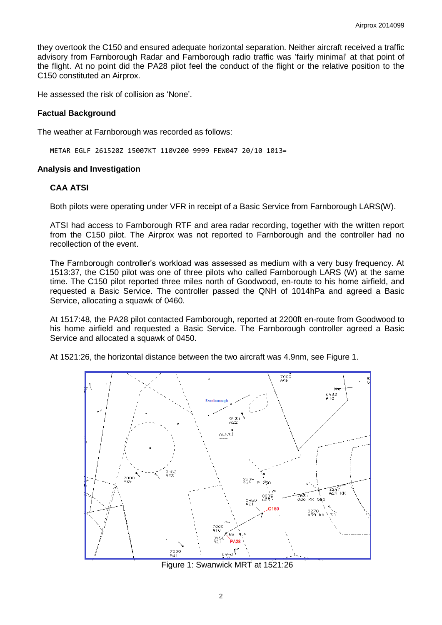they overtook the C150 and ensured adequate horizontal separation. Neither aircraft received a traffic advisory from Farnborough Radar and Farnborough radio traffic was 'fairly minimal' at that point of the flight. At no point did the PA28 pilot feel the conduct of the flight or the relative position to the C150 constituted an Airprox.

He assessed the risk of collision as 'None'.

### **Factual Background**

The weather at Farnborough was recorded as follows:

METAR EGLF 261520Z 15007KT 110V200 9999 FEW047 20/10 1013=

### **Analysis and Investigation**

### **CAA ATSI**

Both pilots were operating under VFR in receipt of a Basic Service from Farnborough LARS(W).

ATSI had access to Farnborough RTF and area radar recording, together with the written report from the C150 pilot. The Airprox was not reported to Farnborough and the controller had no recollection of the event.

The Farnborough controller's workload was assessed as medium with a very busy frequency. At 1513:37, the C150 pilot was one of three pilots who called Farnborough LARS (W) at the same time. The C150 pilot reported three miles north of Goodwood, en-route to his home airfield, and requested a Basic Service. The controller passed the QNH of 1014hPa and agreed a Basic Service, allocating a squawk of 0460.

At 1517:48, the PA28 pilot contacted Farnborough, reported at 2200ft en-route from Goodwood to his home airfield and requested a Basic Service. The Farnborough controller agreed a Basic Service and allocated a squawk of 0450.

At 1521:26, the horizontal distance between the two aircraft was 4.9nm, see Figure 1.



Figure 1: Swanwick MRT at 1521:26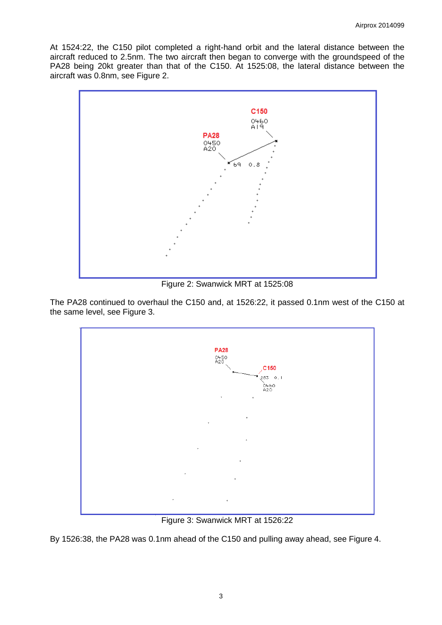At 1524:22, the C150 pilot completed a right-hand orbit and the lateral distance between the aircraft reduced to 2.5nm. The two aircraft then began to converge with the groundspeed of the PA28 being 20kt greater than that of the C150. At 1525:08, the lateral distance between the aircraft was 0.8nm, see Figure 2.



Figure 2: Swanwick MRT at 1525:08

The PA28 continued to overhaul the C150 and, at 1526:22, it passed 0.1nm west of the C150 at the same level, see Figure 3.



Figure 3: Swanwick MRT at 1526:22

By 1526:38, the PA28 was 0.1nm ahead of the C150 and pulling away ahead, see Figure 4.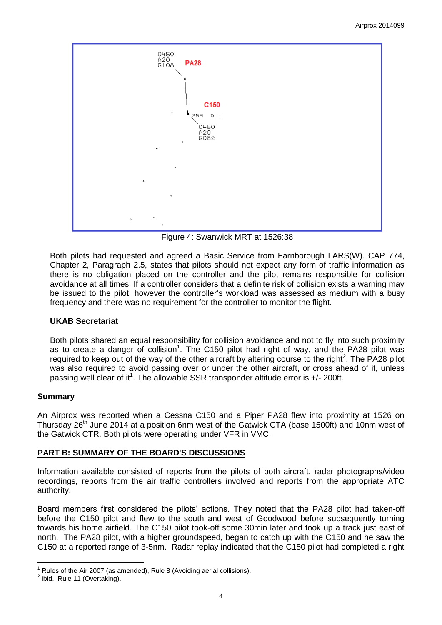

<span id="page-3-0"></span>Figure 4: Swanwick MRT at 1526:38

Both pilots had requested and agreed a Basic Service from Farnborough LARS(W). CAP 774, Chapter 2, Paragraph 2.5, states that pilots should not expect any form of traffic information as there is no obligation placed on the controller and the pilot remains responsible for collision avoidance at all times. If a controller considers that a definite risk of collision exists a warning may be issued to the pilot, however the controller's workload was assessed as medium with a busy frequency and there was no requirement for the controller to monitor the flight.

# **UKAB Secretariat**

Both pilots shared an equal responsibility for collision avoidance and not to fly into such proximity as to create a danger of collision<sup>1</sup>. The C150 pilot had right of way, and the PA28 pilot was required to keep out of the way of the other aircraft by altering course to the right<sup>2</sup>. The PA28 pilot was also required to avoid passing over or under the other aircraft, or cross ahead of it, unless passing well clear of it<sup>[1](#page-3-0)</sup>. The allowable SSR transponder altitude error is  $+/-$  200ft.

# **Summary**

An Airprox was reported when a Cessna C150 and a Piper PA28 flew into proximity at 1526 on Thursday 26<sup>th</sup> June 2014 at a position 6nm west of the Gatwick CTA (base 1500ft) and 10nm west of the Gatwick CTR. Both pilots were operating under VFR in VMC.

# **PART B: SUMMARY OF THE BOARD'S DISCUSSIONS**

Information available consisted of reports from the pilots of both aircraft, radar photographs/video recordings, reports from the air traffic controllers involved and reports from the appropriate ATC authority.

Board members first considered the pilots' actions. They noted that the PA28 pilot had taken-off before the C150 pilot and flew to the south and west of Goodwood before subsequently turning towards his home airfield. The C150 pilot took-off some 30min later and took up a track just east of north. The PA28 pilot, with a higher groundspeed, began to catch up with the C150 and he saw the C150 at a reported range of 3-5nm. Radar replay indicated that the C150 pilot had completed a right

 $\overline{\phantom{a}}$ Rules of the Air 2007 (as amended), Rule 8 (Avoiding aerial collisions).

 $<sup>2</sup>$  ibid., Rule 11 (Overtaking).</sup>